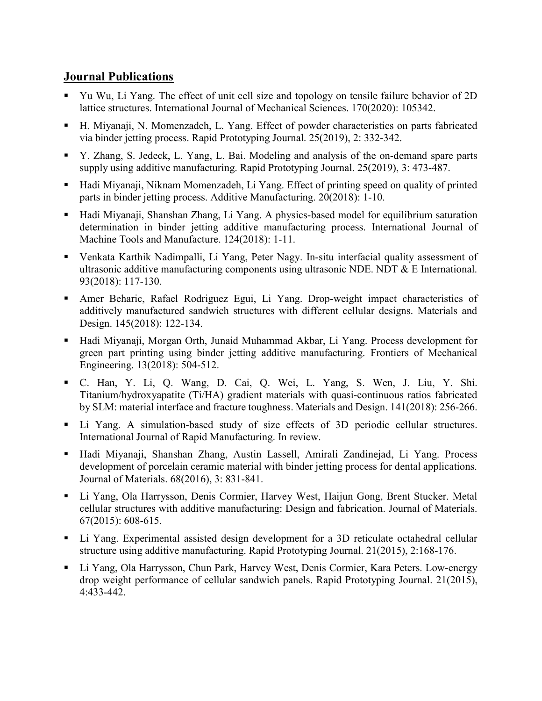## Journal Publications

- Yu Wu, Li Yang. The effect of unit cell size and topology on tensile failure behavior of 2D lattice structures. International Journal of Mechanical Sciences. 170(2020): 105342.
- H. Miyanaji, N. Momenzadeh, L. Yang. Effect of powder characteristics on parts fabricated via binder jetting process. Rapid Prototyping Journal. 25(2019), 2: 332-342.
- Y. Zhang, S. Jedeck, L. Yang, L. Bai. Modeling and analysis of the on-demand spare parts supply using additive manufacturing. Rapid Prototyping Journal. 25(2019), 3: 473-487.
- Hadi Miyanaji, Niknam Momenzadeh, Li Yang. Effect of printing speed on quality of printed parts in binder jetting process. Additive Manufacturing. 20(2018): 1-10.
- Hadi Miyanaji, Shanshan Zhang, Li Yang. A physics-based model for equilibrium saturation determination in binder jetting additive manufacturing process. International Journal of Machine Tools and Manufacture. 124(2018): 1-11.
- Venkata Karthik Nadimpalli, Li Yang, Peter Nagy. In-situ interfacial quality assessment of ultrasonic additive manufacturing components using ultrasonic NDE. NDT  $&\&$  E International. 93(2018): 117-130.
- Amer Beharic, Rafael Rodriguez Egui, Li Yang. Drop-weight impact characteristics of additively manufactured sandwich structures with different cellular designs. Materials and Design. 145(2018): 122-134.
- Hadi Miyanaji, Morgan Orth, Junaid Muhammad Akbar, Li Yang. Process development for green part printing using binder jetting additive manufacturing. Frontiers of Mechanical Engineering. 13(2018): 504-512.
- C. Han, Y. Li, Q. Wang, D. Cai, Q. Wei, L. Yang, S. Wen, J. Liu, Y. Shi. Titanium/hydroxyapatite (Ti/HA) gradient materials with quasi-continuous ratios fabricated by SLM: material interface and fracture toughness. Materials and Design. 141(2018): 256-266.
- Li Yang. A simulation-based study of size effects of 3D periodic cellular structures. International Journal of Rapid Manufacturing. In review.
- Hadi Miyanaji, Shanshan Zhang, Austin Lassell, Amirali Zandinejad, Li Yang. Process development of porcelain ceramic material with binder jetting process for dental applications. Journal of Materials. 68(2016), 3: 831-841.
- Li Yang, Ola Harrysson, Denis Cormier, Harvey West, Haijun Gong, Brent Stucker. Metal cellular structures with additive manufacturing: Design and fabrication. Journal of Materials. 67(2015): 608-615.
- Li Yang. Experimental assisted design development for a 3D reticulate octahedral cellular structure using additive manufacturing. Rapid Prototyping Journal. 21(2015), 2:168-176.
- Li Yang, Ola Harrysson, Chun Park, Harvey West, Denis Cormier, Kara Peters. Low-energy drop weight performance of cellular sandwich panels. Rapid Prototyping Journal. 21(2015), 4:433-442.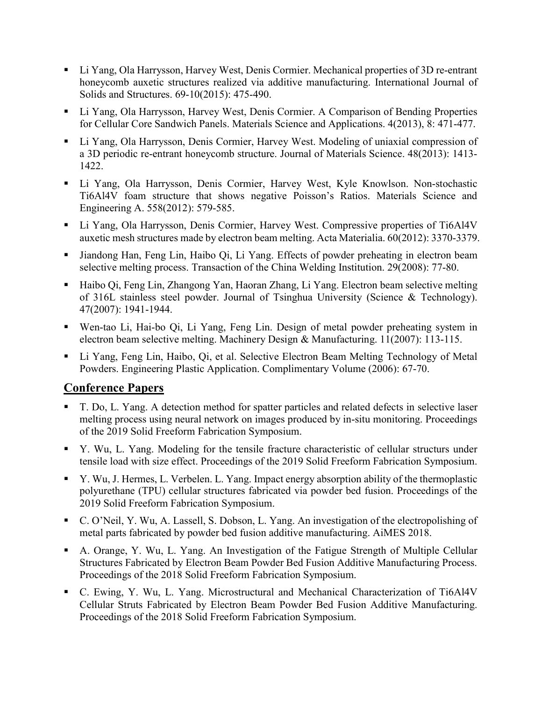- Li Yang, Ola Harrysson, Harvey West, Denis Cormier. Mechanical properties of 3D re-entrant honeycomb auxetic structures realized via additive manufacturing. International Journal of Solids and Structures. 69-10(2015): 475-490.
- Li Yang, Ola Harrysson, Harvey West, Denis Cormier. A Comparison of Bending Properties for Cellular Core Sandwich Panels. Materials Science and Applications. 4(2013), 8: 471-477.
- Li Yang, Ola Harrysson, Denis Cormier, Harvey West. Modeling of uniaxial compression of a 3D periodic re-entrant honeycomb structure. Journal of Materials Science. 48(2013): 1413- 1422.
- Li Yang, Ola Harrysson, Denis Cormier, Harvey West, Kyle Knowlson. Non-stochastic Ti6Al4V foam structure that shows negative Poisson's Ratios. Materials Science and Engineering A. 558(2012): 579-585.
- Li Yang, Ola Harrysson, Denis Cormier, Harvey West. Compressive properties of Ti6Al4V auxetic mesh structures made by electron beam melting. Acta Materialia. 60(2012): 3370-3379.
- Jiandong Han, Feng Lin, Haibo Qi, Li Yang. Effects of powder preheating in electron beam selective melting process. Transaction of the China Welding Institution. 29(2008): 77-80.
- Haibo Qi, Feng Lin, Zhangong Yan, Haoran Zhang, Li Yang. Electron beam selective melting of 316L stainless steel powder. Journal of Tsinghua University (Science & Technology). 47(2007): 1941-1944.
- Wen-tao Li, Hai-bo Qi, Li Yang, Feng Lin. Design of metal powder preheating system in electron beam selective melting. Machinery Design & Manufacturing. 11(2007): 113-115.
- Li Yang, Feng Lin, Haibo, Qi, et al. Selective Electron Beam Melting Technology of Metal Powders. Engineering Plastic Application. Complimentary Volume (2006): 67-70.

## Conference Papers

- T. Do, L. Yang. A detection method for spatter particles and related defects in selective laser melting process using neural network on images produced by in-situ monitoring. Proceedings of the 2019 Solid Freeform Fabrication Symposium.
- Y. Wu, L. Yang. Modeling for the tensile fracture characteristic of cellular structurs under tensile load with size effect. Proceedings of the 2019 Solid Freeform Fabrication Symposium.
- Y. Wu, J. Hermes, L. Verbelen. L. Yang. Impact energy absorption ability of the thermoplastic polyurethane (TPU) cellular structures fabricated via powder bed fusion. Proceedings of the 2019 Solid Freeform Fabrication Symposium.
- C. O'Neil, Y. Wu, A. Lassell, S. Dobson, L. Yang. An investigation of the electropolishing of metal parts fabricated by powder bed fusion additive manufacturing. AiMES 2018.
- A. Orange, Y. Wu, L. Yang. An Investigation of the Fatigue Strength of Multiple Cellular Structures Fabricated by Electron Beam Powder Bed Fusion Additive Manufacturing Process. Proceedings of the 2018 Solid Freeform Fabrication Symposium.
- C. Ewing, Y. Wu, L. Yang. Microstructural and Mechanical Characterization of Ti6Al4V Cellular Struts Fabricated by Electron Beam Powder Bed Fusion Additive Manufacturing. Proceedings of the 2018 Solid Freeform Fabrication Symposium.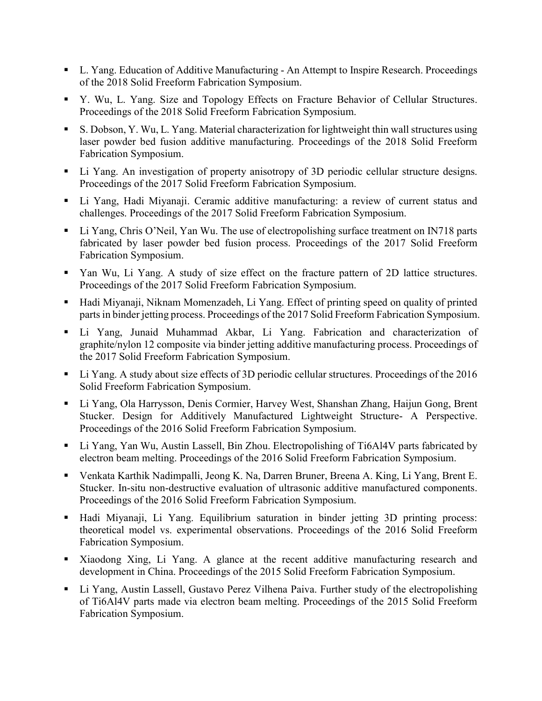- L. Yang. Education of Additive Manufacturing An Attempt to Inspire Research. Proceedings of the 2018 Solid Freeform Fabrication Symposium.
- Y. Wu, L. Yang. Size and Topology Effects on Fracture Behavior of Cellular Structures. Proceedings of the 2018 Solid Freeform Fabrication Symposium.
- S. Dobson, Y. Wu, L. Yang. Material characterization for lightweight thin wall structures using laser powder bed fusion additive manufacturing. Proceedings of the 2018 Solid Freeform Fabrication Symposium.
- Li Yang. An investigation of property anisotropy of 3D periodic cellular structure designs. Proceedings of the 2017 Solid Freeform Fabrication Symposium.
- Li Yang, Hadi Miyanaji. Ceramic additive manufacturing: a review of current status and challenges. Proceedings of the 2017 Solid Freeform Fabrication Symposium.
- Li Yang, Chris O'Neil, Yan Wu. The use of electropolishing surface treatment on IN718 parts fabricated by laser powder bed fusion process. Proceedings of the 2017 Solid Freeform Fabrication Symposium.
- Yan Wu, Li Yang. A study of size effect on the fracture pattern of 2D lattice structures. Proceedings of the 2017 Solid Freeform Fabrication Symposium.
- Hadi Miyanaji, Niknam Momenzadeh, Li Yang. Effect of printing speed on quality of printed parts in binder jetting process. Proceedings of the 2017 Solid Freeform Fabrication Symposium.
- Li Yang, Junaid Muhammad Akbar, Li Yang. Fabrication and characterization of graphite/nylon 12 composite via binder jetting additive manufacturing process. Proceedings of the 2017 Solid Freeform Fabrication Symposium.
- Li Yang. A study about size effects of 3D periodic cellular structures. Proceedings of the 2016 Solid Freeform Fabrication Symposium.
- Li Yang, Ola Harrysson, Denis Cormier, Harvey West, Shanshan Zhang, Haijun Gong, Brent Stucker. Design for Additively Manufactured Lightweight Structure- A Perspective. Proceedings of the 2016 Solid Freeform Fabrication Symposium.
- Li Yang, Yan Wu, Austin Lassell, Bin Zhou. Electropolishing of Ti6Al4V parts fabricated by electron beam melting. Proceedings of the 2016 Solid Freeform Fabrication Symposium.
- Venkata Karthik Nadimpalli, Jeong K. Na, Darren Bruner, Breena A. King, Li Yang, Brent E. Stucker. In-situ non-destructive evaluation of ultrasonic additive manufactured components. Proceedings of the 2016 Solid Freeform Fabrication Symposium.
- Hadi Miyanaji, Li Yang. Equilibrium saturation in binder jetting 3D printing process: theoretical model vs. experimental observations. Proceedings of the 2016 Solid Freeform Fabrication Symposium.
- Xiaodong Xing, Li Yang. A glance at the recent additive manufacturing research and development in China. Proceedings of the 2015 Solid Freeform Fabrication Symposium.
- Li Yang, Austin Lassell, Gustavo Perez Vilhena Paiva. Further study of the electropolishing of Ti6Al4V parts made via electron beam melting. Proceedings of the 2015 Solid Freeform Fabrication Symposium.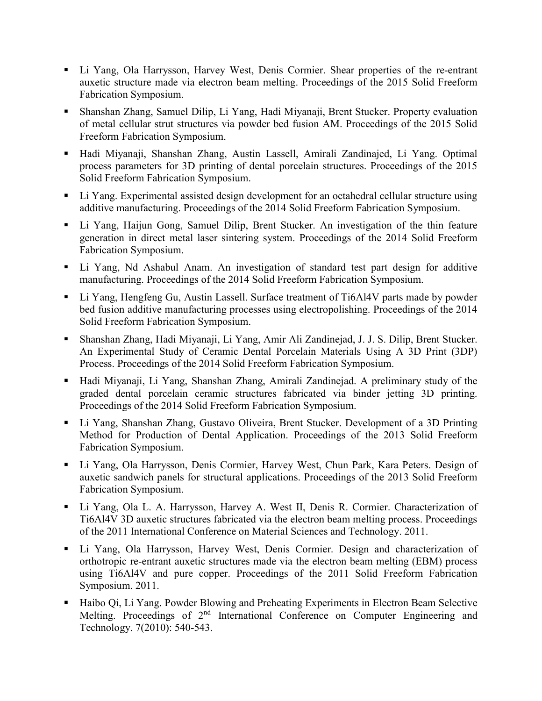- Li Yang, Ola Harrysson, Harvey West, Denis Cormier. Shear properties of the re-entrant auxetic structure made via electron beam melting. Proceedings of the 2015 Solid Freeform Fabrication Symposium.
- Shanshan Zhang, Samuel Dilip, Li Yang, Hadi Miyanaji, Brent Stucker. Property evaluation of metal cellular strut structures via powder bed fusion AM. Proceedings of the 2015 Solid Freeform Fabrication Symposium.
- Hadi Miyanaji, Shanshan Zhang, Austin Lassell, Amirali Zandinajed, Li Yang. Optimal process parameters for 3D printing of dental porcelain structures. Proceedings of the 2015 Solid Freeform Fabrication Symposium.
- Li Yang. Experimental assisted design development for an octahedral cellular structure using additive manufacturing. Proceedings of the 2014 Solid Freeform Fabrication Symposium.
- Li Yang, Haijun Gong, Samuel Dilip, Brent Stucker. An investigation of the thin feature generation in direct metal laser sintering system. Proceedings of the 2014 Solid Freeform Fabrication Symposium.
- Li Yang, Nd Ashabul Anam. An investigation of standard test part design for additive manufacturing. Proceedings of the 2014 Solid Freeform Fabrication Symposium.
- Li Yang, Hengfeng Gu, Austin Lassell. Surface treatment of Ti6Al4V parts made by powder bed fusion additive manufacturing processes using electropolishing. Proceedings of the 2014 Solid Freeform Fabrication Symposium.
- Shanshan Zhang, Hadi Miyanaji, Li Yang, Amir Ali Zandinejad, J. J. S. Dilip, Brent Stucker. An Experimental Study of Ceramic Dental Porcelain Materials Using A 3D Print (3DP) Process. Proceedings of the 2014 Solid Freeform Fabrication Symposium.
- Hadi Miyanaji, Li Yang, Shanshan Zhang, Amirali Zandinejad. A preliminary study of the graded dental porcelain ceramic structures fabricated via binder jetting 3D printing. Proceedings of the 2014 Solid Freeform Fabrication Symposium.
- Li Yang, Shanshan Zhang, Gustavo Oliveira, Brent Stucker. Development of a 3D Printing Method for Production of Dental Application. Proceedings of the 2013 Solid Freeform Fabrication Symposium.
- Li Yang, Ola Harrysson, Denis Cormier, Harvey West, Chun Park, Kara Peters. Design of auxetic sandwich panels for structural applications. Proceedings of the 2013 Solid Freeform Fabrication Symposium.
- Li Yang, Ola L. A. Harrysson, Harvey A. West II, Denis R. Cormier. Characterization of Ti6Al4V 3D auxetic structures fabricated via the electron beam melting process. Proceedings of the 2011 International Conference on Material Sciences and Technology. 2011.
- Li Yang, Ola Harrysson, Harvey West, Denis Cormier. Design and characterization of orthotropic re-entrant auxetic structures made via the electron beam melting (EBM) process using Ti6Al4V and pure copper. Proceedings of the 2011 Solid Freeform Fabrication Symposium. 2011.
- Haibo Qi, Li Yang. Powder Blowing and Preheating Experiments in Electron Beam Selective Melting. Proceedings of 2<sup>nd</sup> International Conference on Computer Engineering and Technology. 7(2010): 540-543.